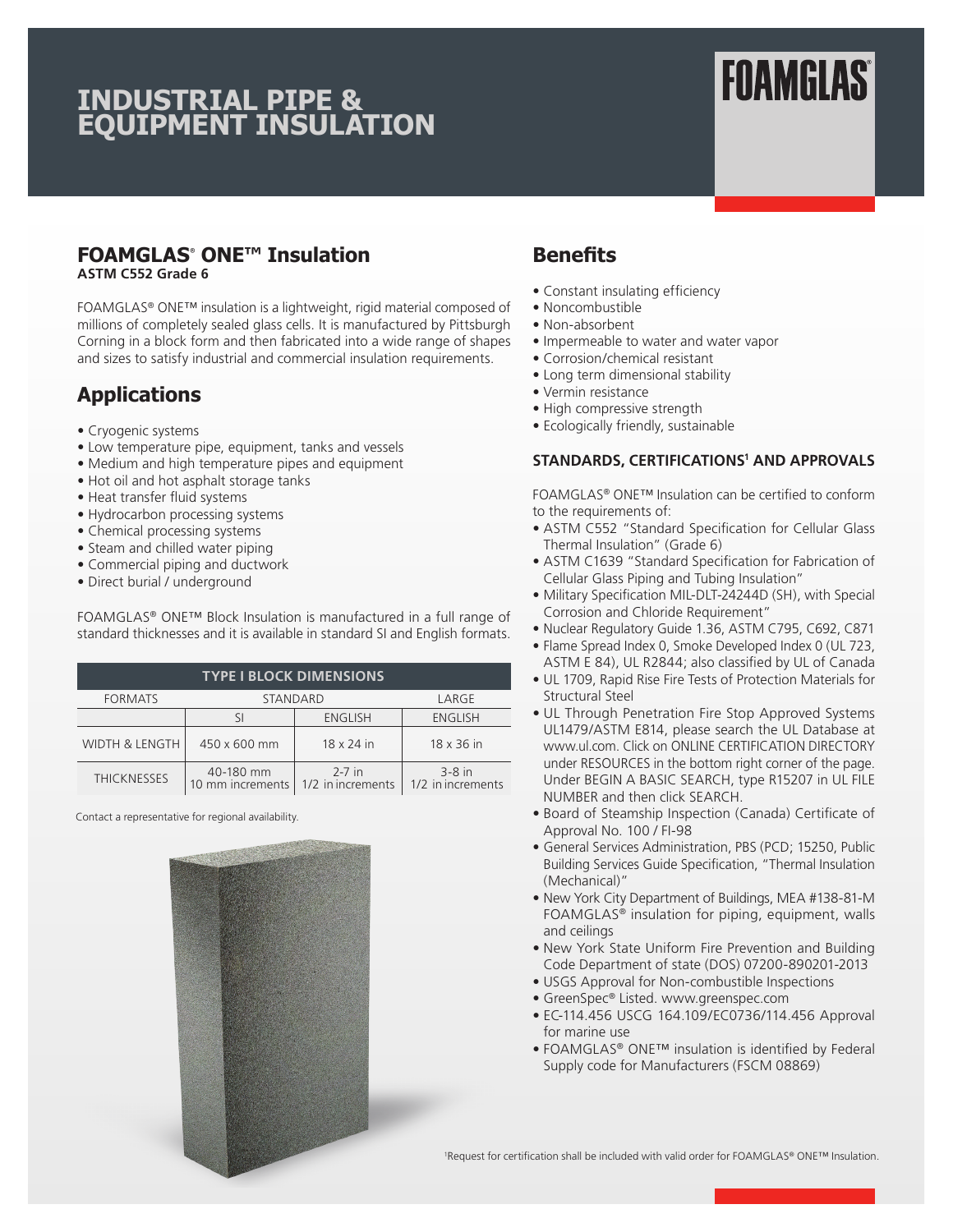## **INDUSTRIAL PIPE & EQUIPMENT INSULATION**

# **FOAMGLAS®**

#### **FOAMGLAS® ONE™ Insulation ASTM C552 Grade 6**

FOAMGLAS® ONE™ insulation is a lightweight, rigid material composed of millions of completely sealed glass cells. It is manufactured by Pittsburgh Corning in a block form and then fabricated into a wide range of shapes and sizes to satisfy industrial and commercial insulation requirements.

### **Applications**

- Cryogenic systems
- Low temperature pipe, equipment, tanks and vessels
- Medium and high temperature pipes and equipment
- Hot oil and hot asphalt storage tanks
- Heat transfer fluid systems
- Hydrocarbon processing systems
- Chemical processing systems
- Steam and chilled water piping
- Commercial piping and ductwork
- Direct burial / underground

FOAMGLAS® ONE™ Block Insulation is manufactured in a full range of standard thicknesses and it is available in standard SI and English formats.

| <b>TYPE I BLOCK DIMENSIONS</b> |                               |                               |                               |  |  |  |  |
|--------------------------------|-------------------------------|-------------------------------|-------------------------------|--|--|--|--|
| <b>FORMATS</b>                 | STANDARD                      | LARGE                         |                               |  |  |  |  |
|                                |                               | <b>ENGLISH</b>                | <b>ENGLISH</b>                |  |  |  |  |
| <b>WIDTH &amp; LENGTH</b>      | 450 x 600 mm                  | 18 x 24 in                    | 18 x 36 in                    |  |  |  |  |
| <b>THICKNESSES</b>             | 40-180 mm<br>10 mm increments | $2-7$ in<br>1/2 in increments | $3-8$ in<br>1/2 in increments |  |  |  |  |

Contact a representative for regional availability.



### **Benefits**

- Constant insulating efficiency
- Noncombustible
- Non-absorbent
- Impermeable to water and water vapor
- Corrosion/chemical resistant
- Long term dimensional stability
- Vermin resistance
- High compressive strength
- Ecologically friendly, sustainable

#### **STANDARDS, CERTIFICATIONS1 AND APPROVALS**

FOAMGLAS® ONE™ Insulation can be certified to conform to the requirements of:

- ASTM C552 "Standard Specification for Cellular Glass Thermal Insulation" (Grade 6)
- ASTM C1639 "Standard Specification for Fabrication of Cellular Glass Piping and Tubing Insulation"
- Military Specification MIL-DLT-24244D (SH), with Special Corrosion and Chloride Requirement"
- Nuclear Regulatory Guide 1.36, ASTM C795, C692, C871
- Flame Spread Index 0, Smoke Developed Index 0 (UL 723, ASTM E 84), UL R2844; also classified by UL of Canada
- UL 1709, Rapid Rise Fire Tests of Protection Materials for Structural Steel
- UL Through Penetration Fire Stop Approved Systems UL1479/ASTM E814, please search the UL Database at www.ul.com. Click on ONLINE CERTIFICATION DIRECTORY under RESOURCES in the bottom right corner of the page. Under BEGIN A BASIC SEARCH, type R15207 in UL FILE NUMBER and then click SEARCH.
- Board of Steamship Inspection (Canada) Certificate of Approval No. 100 / FI-98
- General Services Administration, PBS (PCD; 15250, Public Building Services Guide Specification, "Thermal Insulation (Mechanical)"
- New York City Department of Buildings, MEA #138-81-M FOAMGLAS® insulation for piping, equipment, walls and ceilings
- New York State Uniform Fire Prevention and Building Code Department of state (DOS) 07200-890201-2013
- USGS Approval for Non-combustible Inspections
- GreenSpec® Listed. www.greenspec.com
- EC-114.456 USCG 164.109/EC0736/114.456 Approval for marine use
- FOAMGLAS® ONE™ insulation is identified by Federal Supply code for Manufacturers (FSCM 08869)

1 Request for certification shall be included with valid order for FOAMGLAS® ONE™ Insulation.